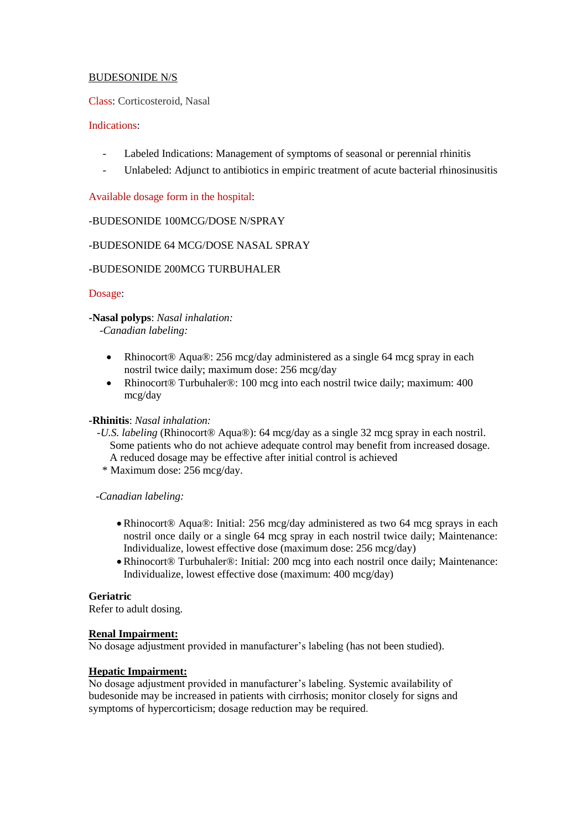# BUDESONIDE N/S

Class: Corticosteroid, Nasal

## Indications:

- Labeled Indications: Management of symptoms of seasonal or perennial rhinitis
- Unlabeled: Adjunct to antibiotics in empiric treatment of acute bacterial rhinosinusitis

Available dosage form in the hospital:

## -BUDESONIDE 100MCG/DOSE N/SPRAY

# -BUDESONIDE 64 MCG/DOSE NASAL SPRAY

## -BUDESONIDE 200MCG TURBUHALER

## Dosage:

**-Nasal polyps**: *Nasal inhalation:*

 *-Canadian labeling:*

- Rhinocort® Aqua®: 256 mcg/day administered as a single 64 mcg spray in each nostril twice daily; maximum dose: 256 mcg/day
- Rhinocort<sup>®</sup> Turbuhaler<sup>®</sup>: 100 mcg into each nostril twice daily; maximum: 400 mcg/day

#### **-Rhinitis**: *Nasal inhalation:*

- *-U.S. labeling* (Rhinocort® Aqua®): 64 mcg/day as a single 32 mcg spray in each nostril. Some patients who do not achieve adequate control may benefit from increased dosage. A reduced dosage may be effective after initial control is achieved
	- \* Maximum dose: 256 mcg/day.

*-Canadian labeling:*

- Rhinocort® Aqua®: Initial: 256 mcg/day administered as two 64 mcg sprays in each nostril once daily or a single 64 mcg spray in each nostril twice daily; Maintenance: Individualize, lowest effective dose (maximum dose: 256 mcg/day)
- Rhinocort® Turbuhaler®: Initial: 200 mcg into each nostril once daily; Maintenance: Individualize, lowest effective dose (maximum: 400 mcg/day)

#### **Geriatric**

Refer to adult dosing.

#### **Renal Impairment:**

No dosage adjustment provided in manufacturer's labeling (has not been studied).

# **Hepatic Impairment:**

No dosage adjustment provided in manufacturer's labeling. Systemic availability of budesonide may be increased in patients with cirrhosis; monitor closely for signs and symptoms of hypercorticism; dosage reduction may be required.